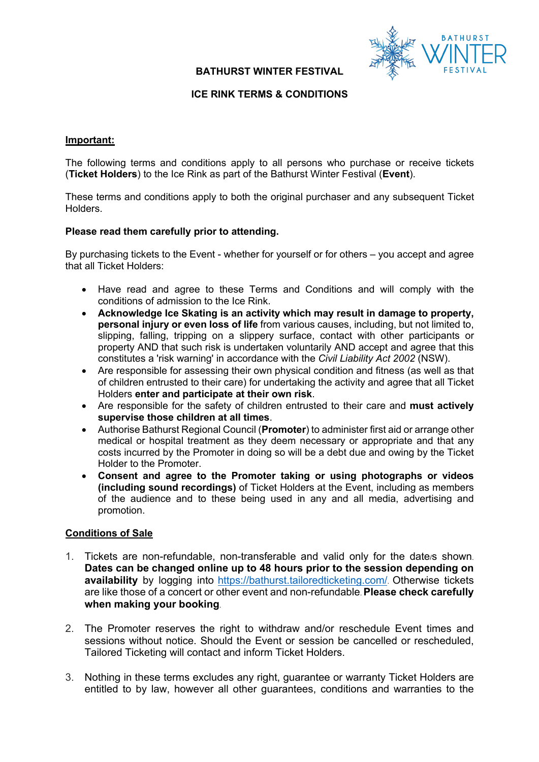## **BATHURST WINTER FESTIVAL**



## **ICE RINK TERMS & CONDITIONS**

#### **Important:**

The following terms and conditions apply to all persons who purchase or receive tickets (**Ticket Holders**) to the Ice Rink as part of the Bathurst Winter Festival (**Event**).

These terms and conditions apply to both the original purchaser and any subsequent Ticket Holders.

#### **Please read them carefully prior to attending.**

By purchasing tickets to the Event - whether for yourself or for others – you accept and agree that all Ticket Holders:

- Have read and agree to these Terms and Conditions and will comply with the conditions of admission to the Ice Rink.
- **Acknowledge Ice Skating is an activity which may result in damage to property, personal injury or even loss of life** from various causes, including, but not limited to, slipping, falling, tripping on a slippery surface, contact with other participants or property AND that such risk is undertaken voluntarily AND accept and agree that this constitutes a 'risk warning' in accordance with the *Civil Liability Act 2002* (NSW).
- Are responsible for assessing their own physical condition and fitness (as well as that of children entrusted to their care) for undertaking the activity and agree that all Ticket Holders **enter and participate at their own risk**.
- Are responsible for the safety of children entrusted to their care and **must actively supervise those children at all times**.
- Authorise Bathurst Regional Council (**Promoter**) to administer first aid or arrange other medical or hospital treatment as they deem necessary or appropriate and that any costs incurred by the Promoter in doing so will be a debt due and owing by the Ticket Holder to the Promoter.
- **Consent and agree to the Promoter taking or using photographs or videos (including sound recordings)** of Ticket Holders at the Event, including as members of the audience and to these being used in any and all media, advertising and promotion.

### **Conditions of Sale**

- 1. Tickets are non-refundable, non-transferable and valid only for the date/s shown. **Dates can be changed online up to 48 hours prior to the session depending on availability** by logging into https://bathurst.tailoredticketing.com/. Otherwise tickets are like those of a concert or other event and non-refundable. **Please check carefully when making your booking**.
- 2. The Promoter reserves the right to withdraw and/or reschedule Event times and sessions without notice. Should the Event or session be cancelled or rescheduled, Tailored Ticketing will contact and inform Ticket Holders.
- 3. Nothing in these terms excludes any right, guarantee or warranty Ticket Holders are entitled to by law, however all other guarantees, conditions and warranties to the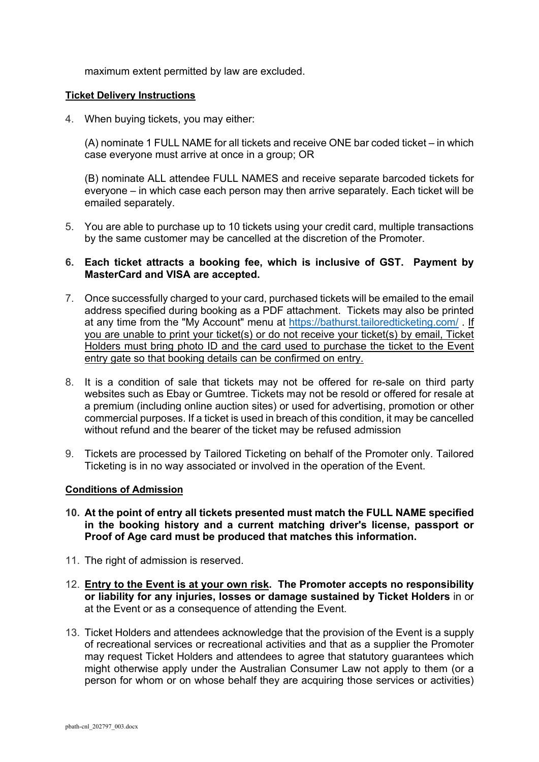maximum extent permitted by law are excluded.

## **Ticket Delivery Instructions**

4. When buying tickets, you may either:

(A) nominate 1 FULL NAME for all tickets and receive ONE bar coded ticket – in which case everyone must arrive at once in a group; OR

(B) nominate ALL attendee FULL NAMES and receive separate barcoded tickets for everyone – in which case each person may then arrive separately. Each ticket will be emailed separately.

5. You are able to purchase up to 10 tickets using your credit card, multiple transactions by the same customer may be cancelled at the discretion of the Promoter.

# **6. Each ticket attracts a booking fee, which is inclusive of GST. Payment by MasterCard and VISA are accepted.**

- 7. Once successfully charged to your card, purchased tickets will be emailed to the email address specified during booking as a PDF attachment. Tickets may also be printed at any time from the "My Account" menu at https://bathurst.tailoredticketing.com/ . If you are unable to print your ticket(s) or do not receive your ticket(s) by email, Ticket Holders must bring photo ID and the card used to purchase the ticket to the Event entry gate so that booking details can be confirmed on entry.
- 8. It is a condition of sale that tickets may not be offered for re-sale on third party websites such as Ebay or Gumtree. Tickets may not be resold or offered for resale at a premium (including online auction sites) or used for advertising, promotion or other commercial purposes. If a ticket is used in breach of this condition, it may be cancelled without refund and the bearer of the ticket may be refused admission
- 9. Tickets are processed by Tailored Ticketing on behalf of the Promoter only. Tailored Ticketing is in no way associated or involved in the operation of the Event.

## **Conditions of Admission**

- **10. At the point of entry all tickets presented must match the FULL NAME specified in the booking history and a current matching driver's license, passport or Proof of Age card must be produced that matches this information.**
- 11. The right of admission is reserved.
- 12. **Entry to the Event is at your own risk. The Promoter accepts no responsibility or liability for any injuries, losses or damage sustained by Ticket Holders** in or at the Event or as a consequence of attending the Event.
- 13. Ticket Holders and attendees acknowledge that the provision of the Event is a supply of recreational services or recreational activities and that as a supplier the Promoter may request Ticket Holders and attendees to agree that statutory guarantees which might otherwise apply under the Australian Consumer Law not apply to them (or a person for whom or on whose behalf they are acquiring those services or activities)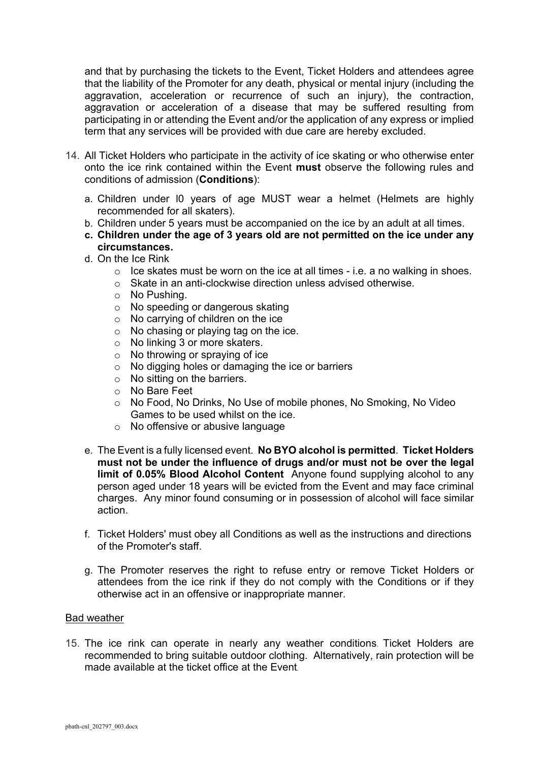and that by purchasing the tickets to the Event, Ticket Holders and attendees agree that the liability of the Promoter for any death, physical or mental injury (including the aggravation, acceleration or recurrence of such an injury), the contraction, aggravation or acceleration of a disease that may be suffered resulting from participating in or attending the Event and/or the application of any express or implied term that any services will be provided with due care are hereby excluded.

- 14. All Ticket Holders who participate in the activity of ice skating or who otherwise enter onto the ice rink contained within the Event **must** observe the following rules and conditions of admission (**Conditions**):
	- a. Children under l0 years of age MUST wear a helmet (Helmets are highly recommended for all skaters).
	- b. Children under 5 years must be accompanied on the ice by an adult at all times.
	- **c. Children under the age of 3 years old are not permitted on the ice under any circumstances.**
	- d. On the Ice Rink
		- $\circ$  Ice skates must be worn on the ice at all times i.e. a no walking in shoes.
		- o Skate in an anti-clockwise direction unless advised otherwise.
		- o No Pushing.
		- o No speeding or dangerous skating
		- $\circ$  No carrying of children on the ice
		- o No chasing or playing tag on the ice.
		- o No linking 3 or more skaters.
		- o No throwing or spraying of ice
		- o No digging holes or damaging the ice or barriers
		- o No sitting on the barriers.
		- o No Bare Feet
		- o No Food, No Drinks, No Use of mobile phones, No Smoking, No Video Games to be used whilst on the ice.
		- o No offensive or abusive language
	- e. The Event is a fully licensed event. **No BYO alcohol is permitted**. **Ticket Holders must not be under the influence of drugs and/or must not be over the legal limit of 0.05% Blood Alcohol Content** Anyone found supplying alcohol to any person aged under 18 years will be evicted from the Event and may face criminal charges. Any minor found consuming or in possession of alcohol will face similar action.
	- f. Ticket Holders' must obey all Conditions as well as the instructions and directions of the Promoter's staff.
	- g. The Promoter reserves the right to refuse entry or remove Ticket Holders or attendees from the ice rink if they do not comply with the Conditions or if they otherwise act in an offensive or inappropriate manner.

### Bad weather

15. The ice rink can operate in nearly any weather conditions. Ticket Holders are recommended to bring suitable outdoor clothing. Alternatively, rain protection will be made available at the ticket office at the Event.